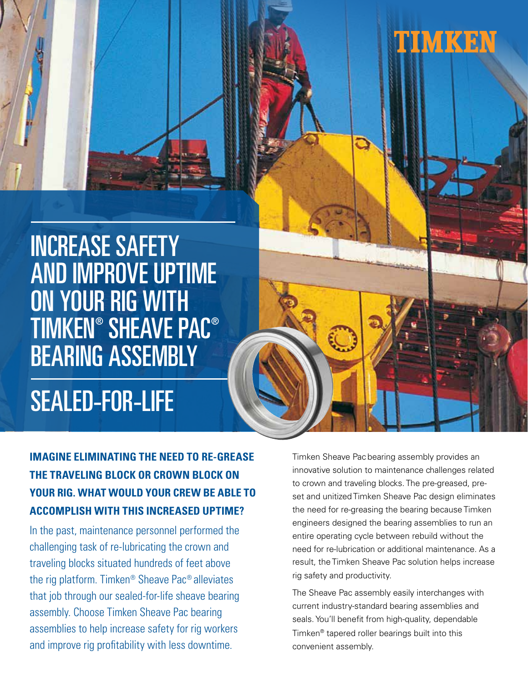

INCREASE SAFETY AND IMPROVE UPTIME ON YOUR RIG WITH TIMKEN® SHEAVE PAC® BEARING ASSEMBLY

# SEALED-FOR-LIFE

## **IMAGINE ELIMINATING THE NEED TO RE-GREASE THE TRAVELING BLOCK OR CROWN BLOCK ON YOUR RIG. WHAT WOULD YOUR CREW BE ABLE TO ACCOMPLISH WITH THIS INCREASED UPTIME?**

In the past, maintenance personnel performed the challenging task of re-lubricating the crown and traveling blocks situated hundreds of feet above the rig platform. Timken® Sheave Pac® alleviates that job through our sealed-for-life sheave bearing assembly. Choose Timken Sheave Pac bearing assemblies to help increase safety for rig workers and improve rig profitability with less downtime.

Timken Sheave Pac bearing assembly provides an innovative solution to maintenance challenges related to crown and traveling blocks. The pre-greased, preset and unitized Timken Sheave Pac design eliminates the need for re-greasing the bearing because Timken engineers designed the bearing assemblies to run an entire operating cycle between rebuild without the need for re-lubrication or additional maintenance. As a result, the Timken Sheave Pac solution helps increase rig safety and productivity.

The Sheave Pac assembly easily interchanges with current industry-standard bearing assemblies and seals. You'll benefit from high-quality, dependable Timken® tapered roller bearings built into this convenient assembly.